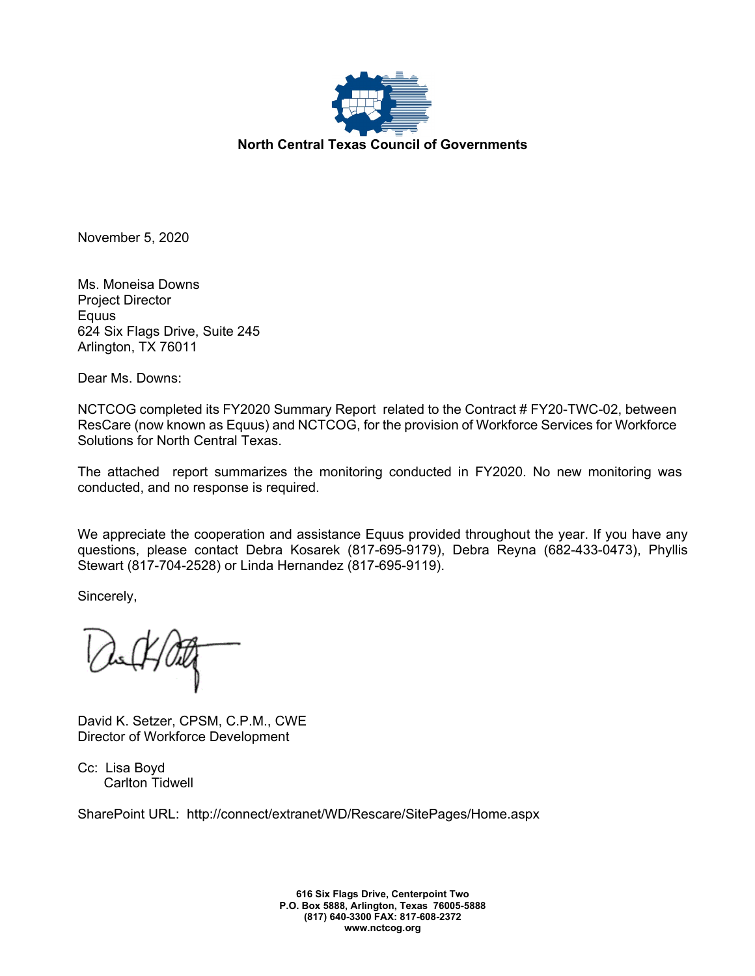

November 5, 2020

Ms. Moneisa Downs Project Director Equus 624 Six Flags Drive, Suite 245 Arlington, TX 76011

Dear Ms. Downs:

NCTCOG completed its FY2020 Summary Report related to the Contract # FY20-TWC-02, between ResCare (now known as Equus) and NCTCOG, for the provision of Workforce Services for Workforce Solutions for North Central Texas.

The attached report summarizes the monitoring conducted in FY2020. No new monitoring was conducted, and no response is required.

We appreciate the cooperation and assistance Equus provided throughout the year. If you have any questions, please contact Debra Kosarek (817-695-9179), Debra Reyna (682-433-0473), Phyllis Stewart (817-704-2528) or Linda Hernandez (817-695-9119).

Sincerely,

David K. Setzer, CPSM, C.P.M., CWE Director of Workforce Development

Cc: Lisa Boyd Carlton Tidwell

SharePoint URL: http://connect/extranet/WD/Rescare/SitePages/Home.aspx

**616 Six Flags Drive, Centerpoint Two P.O. Box 5888, Arlington, Texas 76005-5888 (817) 640-3300 FAX: 817-608-2372 www.nctcog.org**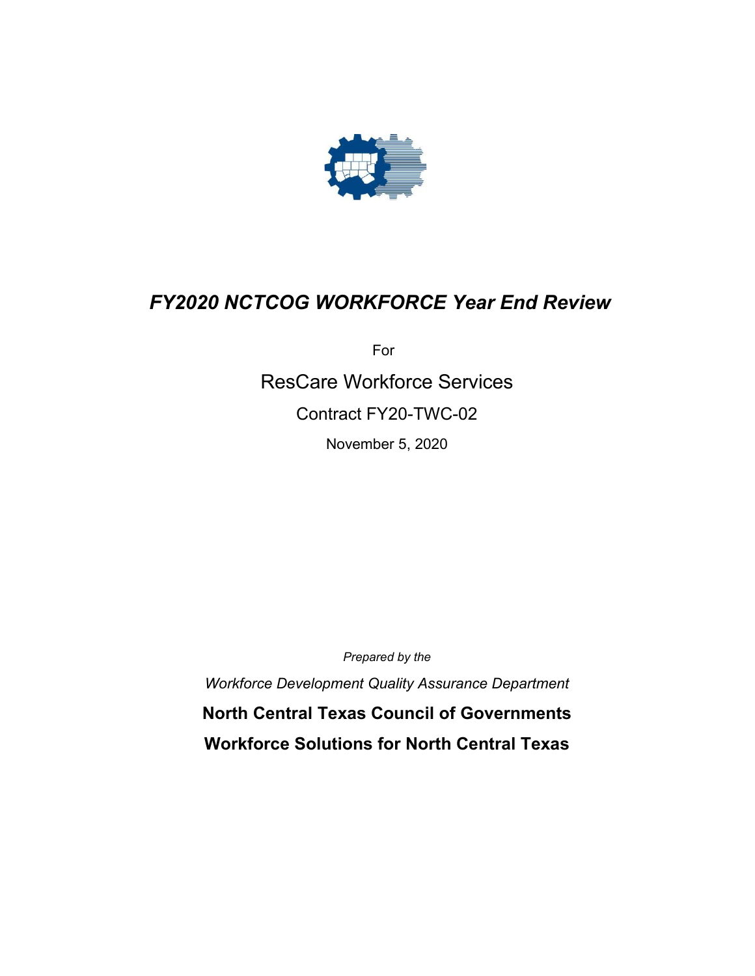

# *FY2020 NCTCOG WORKFORCE Year End Review*

For

ResCare Workforce Services Contract FY20-TWC-02

November 5, 2020

*Prepared by the*

*Workforce Development Quality Assurance Department*

**North Central Texas Council of Governments Workforce Solutions for North Central Texas**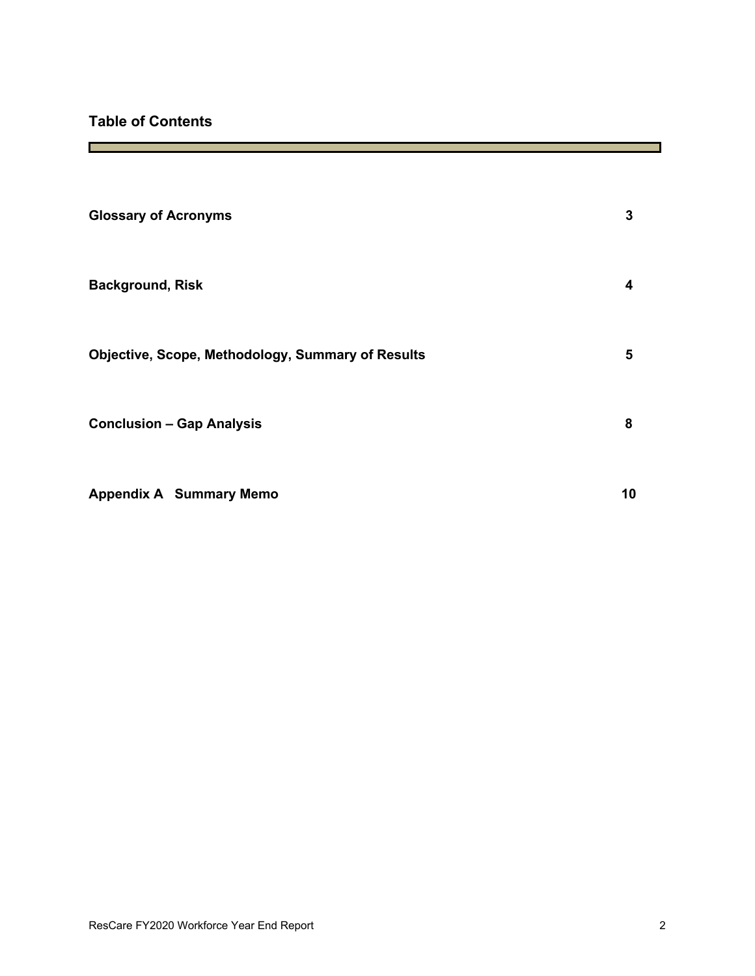г

| <b>Glossary of Acronyms</b>                       | 3  |
|---------------------------------------------------|----|
| <b>Background, Risk</b>                           | 4  |
| Objective, Scope, Methodology, Summary of Results | 5  |
| <b>Conclusion - Gap Analysis</b>                  | 8  |
| <b>Appendix A Summary Memo</b>                    | 10 |

T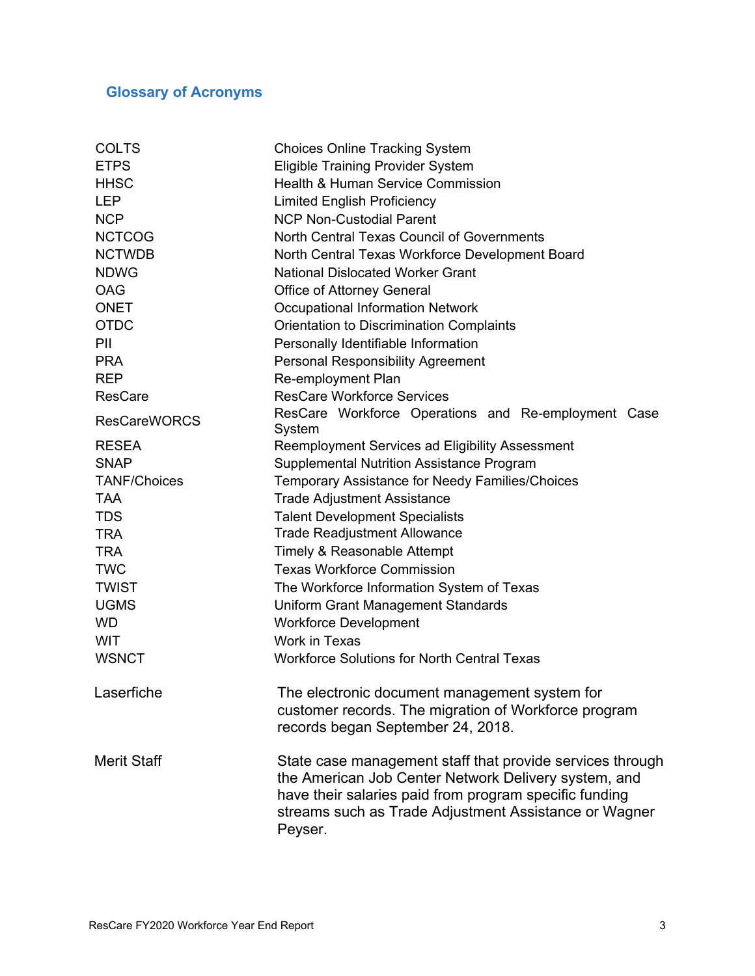# **Glossary of Acronyms**

| <b>COLTS</b>        | <b>Choices Online Tracking System</b>                                                                                                                                                                                                           |  |  |
|---------------------|-------------------------------------------------------------------------------------------------------------------------------------------------------------------------------------------------------------------------------------------------|--|--|
| <b>ETPS</b>         | <b>Eligible Training Provider System</b>                                                                                                                                                                                                        |  |  |
| <b>HHSC</b>         | <b>Health &amp; Human Service Commission</b>                                                                                                                                                                                                    |  |  |
| <b>LEP</b>          | <b>Limited English Proficiency</b>                                                                                                                                                                                                              |  |  |
| <b>NCP</b>          | <b>NCP Non-Custodial Parent</b>                                                                                                                                                                                                                 |  |  |
| <b>NCTCOG</b>       | North Central Texas Council of Governments                                                                                                                                                                                                      |  |  |
| <b>NCTWDB</b>       | North Central Texas Workforce Development Board                                                                                                                                                                                                 |  |  |
| <b>NDWG</b>         | <b>National Dislocated Worker Grant</b>                                                                                                                                                                                                         |  |  |
| <b>OAG</b>          | Office of Attorney General                                                                                                                                                                                                                      |  |  |
| <b>ONET</b>         | <b>Occupational Information Network</b>                                                                                                                                                                                                         |  |  |
| <b>OTDC</b>         | <b>Orientation to Discrimination Complaints</b>                                                                                                                                                                                                 |  |  |
| PII                 | Personally Identifiable Information                                                                                                                                                                                                             |  |  |
| <b>PRA</b>          | <b>Personal Responsibility Agreement</b>                                                                                                                                                                                                        |  |  |
| <b>REP</b>          | Re-employment Plan                                                                                                                                                                                                                              |  |  |
| <b>ResCare</b>      | <b>ResCare Workforce Services</b>                                                                                                                                                                                                               |  |  |
| <b>ResCareWORCS</b> | ResCare Workforce Operations and Re-employment Case<br>System                                                                                                                                                                                   |  |  |
| <b>RESEA</b>        | Reemployment Services ad Eligibility Assessment                                                                                                                                                                                                 |  |  |
| <b>SNAP</b>         | <b>Supplemental Nutrition Assistance Program</b>                                                                                                                                                                                                |  |  |
| <b>TANF/Choices</b> | <b>Temporary Assistance for Needy Families/Choices</b>                                                                                                                                                                                          |  |  |
| <b>TAA</b>          | <b>Trade Adjustment Assistance</b>                                                                                                                                                                                                              |  |  |
| <b>TDS</b>          | <b>Talent Development Specialists</b>                                                                                                                                                                                                           |  |  |
| <b>TRA</b>          | <b>Trade Readjustment Allowance</b>                                                                                                                                                                                                             |  |  |
| <b>TRA</b>          | Timely & Reasonable Attempt                                                                                                                                                                                                                     |  |  |
| <b>TWC</b>          | <b>Texas Workforce Commission</b>                                                                                                                                                                                                               |  |  |
| <b>TWIST</b>        | The Workforce Information System of Texas                                                                                                                                                                                                       |  |  |
| <b>UGMS</b>         | <b>Uniform Grant Management Standards</b>                                                                                                                                                                                                       |  |  |
| <b>WD</b>           | <b>Workforce Development</b>                                                                                                                                                                                                                    |  |  |
| <b>WIT</b>          | <b>Work in Texas</b>                                                                                                                                                                                                                            |  |  |
| <b>WSNCT</b>        | <b>Workforce Solutions for North Central Texas</b>                                                                                                                                                                                              |  |  |
| Laserfiche          | The electronic document management system for<br>customer records. The migration of Workforce program<br>records began September 24, 2018.                                                                                                      |  |  |
| <b>Merit Staff</b>  | State case management staff that provide services through<br>the American Job Center Network Delivery system, and<br>have their salaries paid from program specific funding<br>streams such as Trade Adjustment Assistance or Wagner<br>Peyser. |  |  |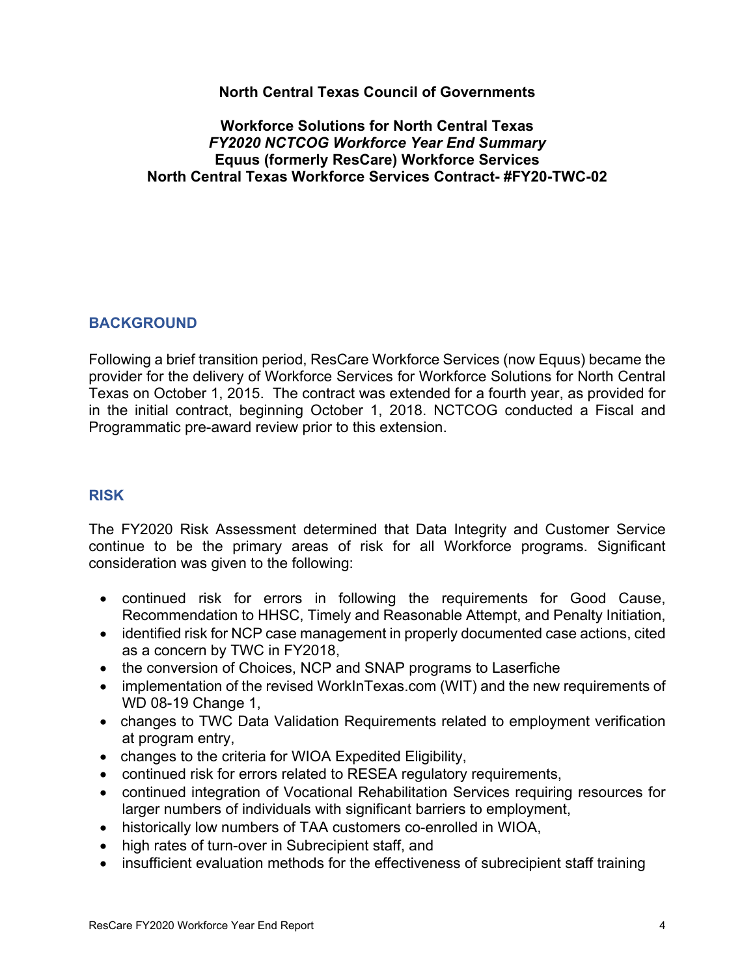#### **North Central Texas Council of Governments**

#### **Workforce Solutions for North Central Texas** *FY2020 NCTCOG Workforce Year End Summary* **Equus (formerly ResCare) Workforce Services North Central Texas Workforce Services Contract- #FY20-TWC-02**

#### **BACKGROUND**

Following a brief transition period, ResCare Workforce Services (now Equus) became the provider for the delivery of Workforce Services for Workforce Solutions for North Central Texas on October 1, 2015. The contract was extended for a fourth year, as provided for in the initial contract, beginning October 1, 2018. NCTCOG conducted a Fiscal and Programmatic pre-award review prior to this extension.

### **RISK**

The FY2020 Risk Assessment determined that Data Integrity and Customer Service continue to be the primary areas of risk for all Workforce programs. Significant consideration was given to the following:

- continued risk for errors in following the requirements for Good Cause, Recommendation to HHSC, Timely and Reasonable Attempt, and Penalty Initiation,
- identified risk for NCP case management in properly documented case actions, cited as a concern by TWC in FY2018,
- the conversion of Choices, NCP and SNAP programs to Laserfiche
- implementation of the revised WorkInTexas.com (WIT) and the new requirements of WD 08-19 Change 1,
- changes to TWC Data Validation Requirements related to employment verification at program entry,
- changes to the criteria for WIOA Expedited Eligibility,
- continued risk for errors related to RESEA regulatory requirements,
- continued integration of Vocational Rehabilitation Services requiring resources for larger numbers of individuals with significant barriers to employment,
- historically low numbers of TAA customers co-enrolled in WIOA,
- high rates of turn-over in Subrecipient staff, and
- insufficient evaluation methods for the effectiveness of subrecipient staff training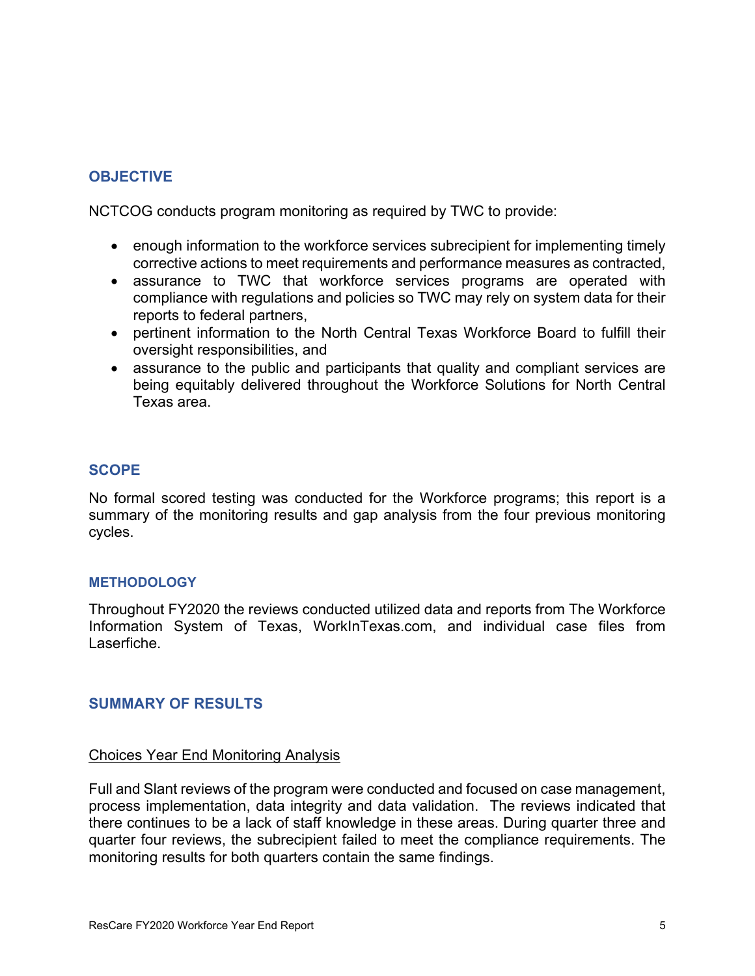### **OBJECTIVE**

NCTCOG conducts program monitoring as required by TWC to provide:

- enough information to the workforce services subrecipient for implementing timely corrective actions to meet requirements and performance measures as contracted,
- assurance to TWC that workforce services programs are operated with compliance with regulations and policies so TWC may rely on system data for their reports to federal partners,
- pertinent information to the North Central Texas Workforce Board to fulfill their oversight responsibilities, and
- assurance to the public and participants that quality and compliant services are being equitably delivered throughout the Workforce Solutions for North Central Texas area.

#### **SCOPE**

No formal scored testing was conducted for the Workforce programs; this report is a summary of the monitoring results and gap analysis from the four previous monitoring cycles.

#### **METHODOLOGY**

Throughout FY2020 the reviews conducted utilized data and reports from The Workforce Information System of Texas, WorkInTexas.com, and individual case files from Laserfiche.

#### **SUMMARY OF RESULTS**

#### Choices Year End Monitoring Analysis

Full and Slant reviews of the program were conducted and focused on case management, process implementation, data integrity and data validation. The reviews indicated that there continues to be a lack of staff knowledge in these areas. During quarter three and quarter four reviews, the subrecipient failed to meet the compliance requirements. The monitoring results for both quarters contain the same findings.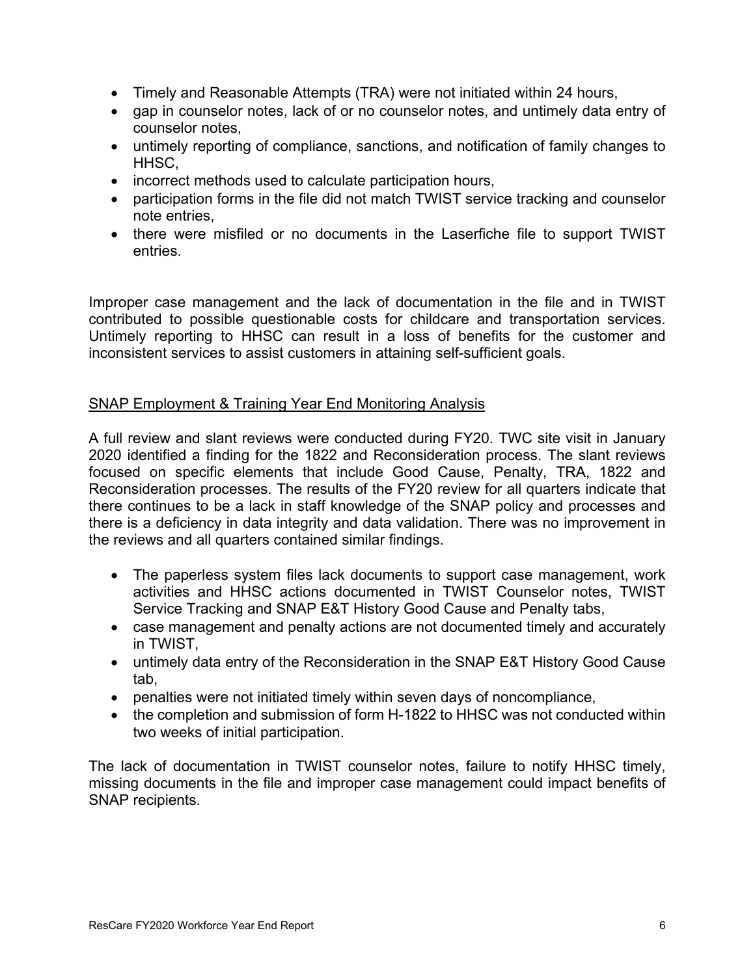- Timely and Reasonable Attempts (TRA) were not initiated within 24 hours,
- gap in counselor notes, lack of or no counselor notes, and untimely data entry of counselor notes,
- untimely reporting of compliance, sanctions, and notification of family changes to HHSC,
- incorrect methods used to calculate participation hours,
- participation forms in the file did not match TWIST service tracking and counselor note entries,
- there were misfiled or no documents in the Laserfiche file to support TWIST entries.

Improper case management and the lack of documentation in the file and in TWIST contributed to possible questionable costs for childcare and transportation services. Untimely reporting to HHSC can result in a loss of benefits for the customer and inconsistent services to assist customers in attaining self-sufficient goals.

#### SNAP Employment & Training Year End Monitoring Analysis

A full review and slant reviews were conducted during FY20. TWC site visit in January 2020 identified a finding for the 1822 and Reconsideration process. The slant reviews focused on specific elements that include Good Cause, Penalty, TRA, 1822 and Reconsideration processes. The results of the FY20 review for all quarters indicate that there continues to be a lack in staff knowledge of the SNAP policy and processes and there is a deficiency in data integrity and data validation. There was no improvement in the reviews and all quarters contained similar findings.

- The paperless system files lack documents to support case management, work activities and HHSC actions documented in TWIST Counselor notes, TWIST Service Tracking and SNAP E&T History Good Cause and Penalty tabs,
- case management and penalty actions are not documented timely and accurately in TWIST,
- untimely data entry of the Reconsideration in the SNAP E&T History Good Cause tab,
- penalties were not initiated timely within seven days of noncompliance,
- the completion and submission of form H-1822 to HHSC was not conducted within two weeks of initial participation.

The lack of documentation in TWIST counselor notes, failure to notify HHSC timely, missing documents in the file and improper case management could impact benefits of SNAP recipients.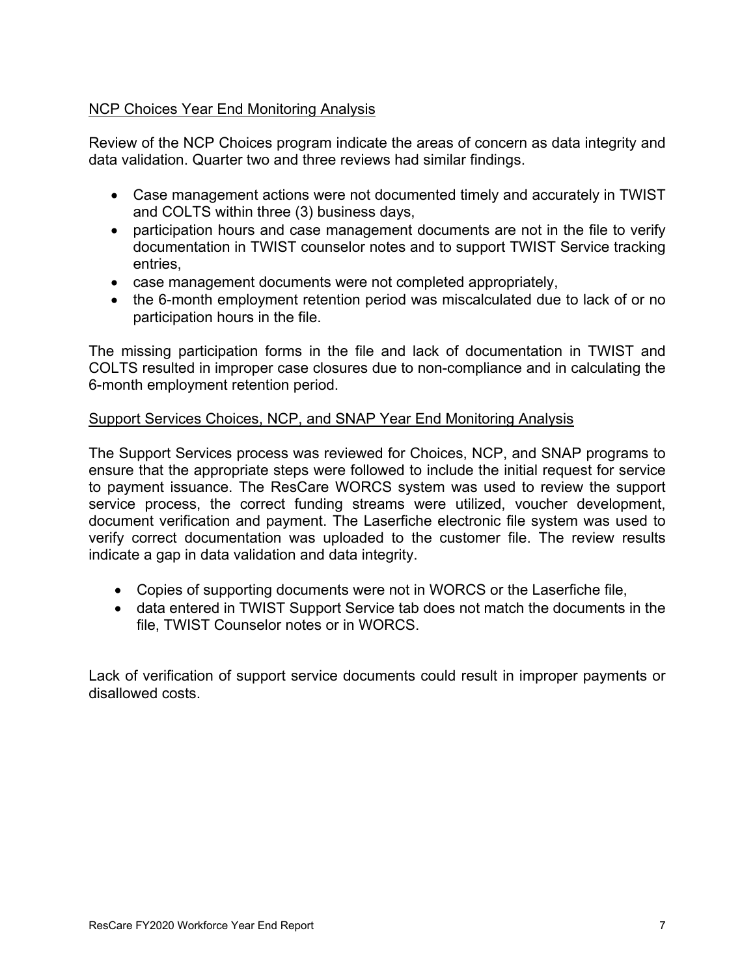#### NCP Choices Year End Monitoring Analysis

Review of the NCP Choices program indicate the areas of concern as data integrity and data validation. Quarter two and three reviews had similar findings.

- Case management actions were not documented timely and accurately in TWIST and COLTS within three (3) business days,
- participation hours and case management documents are not in the file to verify documentation in TWIST counselor notes and to support TWIST Service tracking entries,
- case management documents were not completed appropriately,
- the 6-month employment retention period was miscalculated due to lack of or no participation hours in the file.

The missing participation forms in the file and lack of documentation in TWIST and COLTS resulted in improper case closures due to non-compliance and in calculating the 6-month employment retention period.

#### Support Services Choices, NCP, and SNAP Year End Monitoring Analysis

The Support Services process was reviewed for Choices, NCP, and SNAP programs to ensure that the appropriate steps were followed to include the initial request for service to payment issuance. The ResCare WORCS system was used to review the support service process, the correct funding streams were utilized, voucher development, document verification and payment. The Laserfiche electronic file system was used to verify correct documentation was uploaded to the customer file. The review results indicate a gap in data validation and data integrity.

- Copies of supporting documents were not in WORCS or the Laserfiche file,
- data entered in TWIST Support Service tab does not match the documents in the file, TWIST Counselor notes or in WORCS.

Lack of verification of support service documents could result in improper payments or disallowed costs.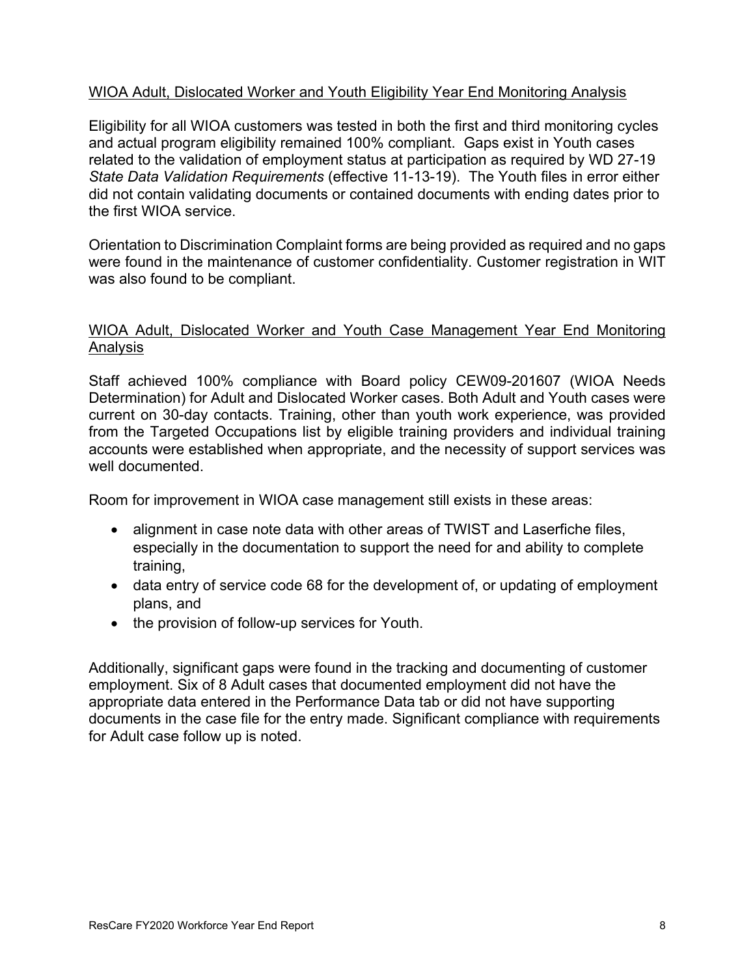#### WIOA Adult, Dislocated Worker and Youth Eligibility Year End Monitoring Analysis

Eligibility for all WIOA customers was tested in both the first and third monitoring cycles and actual program eligibility remained 100% compliant. Gaps exist in Youth cases related to the validation of employment status at participation as required by WD 27-19 *State Data Validation Requirements* (effective 11-13-19). The Youth files in error either did not contain validating documents or contained documents with ending dates prior to the first WIOA service.

Orientation to Discrimination Complaint forms are being provided as required and no gaps were found in the maintenance of customer confidentiality. Customer registration in WIT was also found to be compliant.

#### WIOA Adult, Dislocated Worker and Youth Case Management Year End Monitoring Analysis

Staff achieved 100% compliance with Board policy CEW09-201607 (WIOA Needs Determination) for Adult and Dislocated Worker cases. Both Adult and Youth cases were current on 30-day contacts. Training, other than youth work experience, was provided from the Targeted Occupations list by eligible training providers and individual training accounts were established when appropriate, and the necessity of support services was well documented.

Room for improvement in WIOA case management still exists in these areas:

- alignment in case note data with other areas of TWIST and Laserfiche files, especially in the documentation to support the need for and ability to complete training,
- data entry of service code 68 for the development of, or updating of employment plans, and
- the provision of follow-up services for Youth.

Additionally, significant gaps were found in the tracking and documenting of customer employment. Six of 8 Adult cases that documented employment did not have the appropriate data entered in the Performance Data tab or did not have supporting documents in the case file for the entry made. Significant compliance with requirements for Adult case follow up is noted.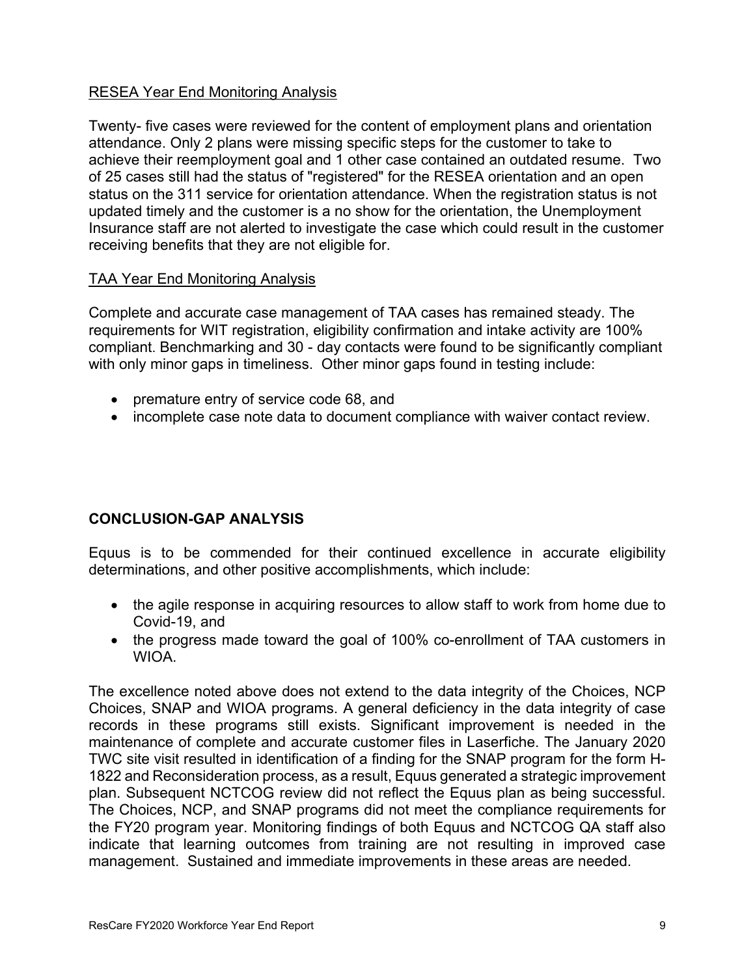#### RESEA Year End Monitoring Analysis

Twenty- five cases were reviewed for the content of employment plans and orientation attendance. Only 2 plans were missing specific steps for the customer to take to achieve their reemployment goal and 1 other case contained an outdated resume. Two of 25 cases still had the status of "registered" for the RESEA orientation and an open status on the 311 service for orientation attendance. When the registration status is not updated timely and the customer is a no show for the orientation, the Unemployment Insurance staff are not alerted to investigate the case which could result in the customer receiving benefits that they are not eligible for.

#### TAA Year End Monitoring Analysis

Complete and accurate case management of TAA cases has remained steady. The requirements for WIT registration, eligibility confirmation and intake activity are 100% compliant. Benchmarking and 30 - day contacts were found to be significantly compliant with only minor gaps in timeliness. Other minor gaps found in testing include:

- premature entry of service code 68, and
- incomplete case note data to document compliance with waiver contact review.

## **CONCLUSION-GAP ANALYSIS**

Equus is to be commended for their continued excellence in accurate eligibility determinations, and other positive accomplishments, which include:

- the agile response in acquiring resources to allow staff to work from home due to Covid-19, and
- the progress made toward the goal of 100% co-enrollment of TAA customers in WIOA.

The excellence noted above does not extend to the data integrity of the Choices, NCP Choices, SNAP and WIOA programs. A general deficiency in the data integrity of case records in these programs still exists. Significant improvement is needed in the maintenance of complete and accurate customer files in Laserfiche. The January 2020 TWC site visit resulted in identification of a finding for the SNAP program for the form H-1822 and Reconsideration process, as a result, Equus generated a strategic improvement plan. Subsequent NCTCOG review did not reflect the Equus plan as being successful. The Choices, NCP, and SNAP programs did not meet the compliance requirements for the FY20 program year. Monitoring findings of both Equus and NCTCOG QA staff also indicate that learning outcomes from training are not resulting in improved case management. Sustained and immediate improvements in these areas are needed.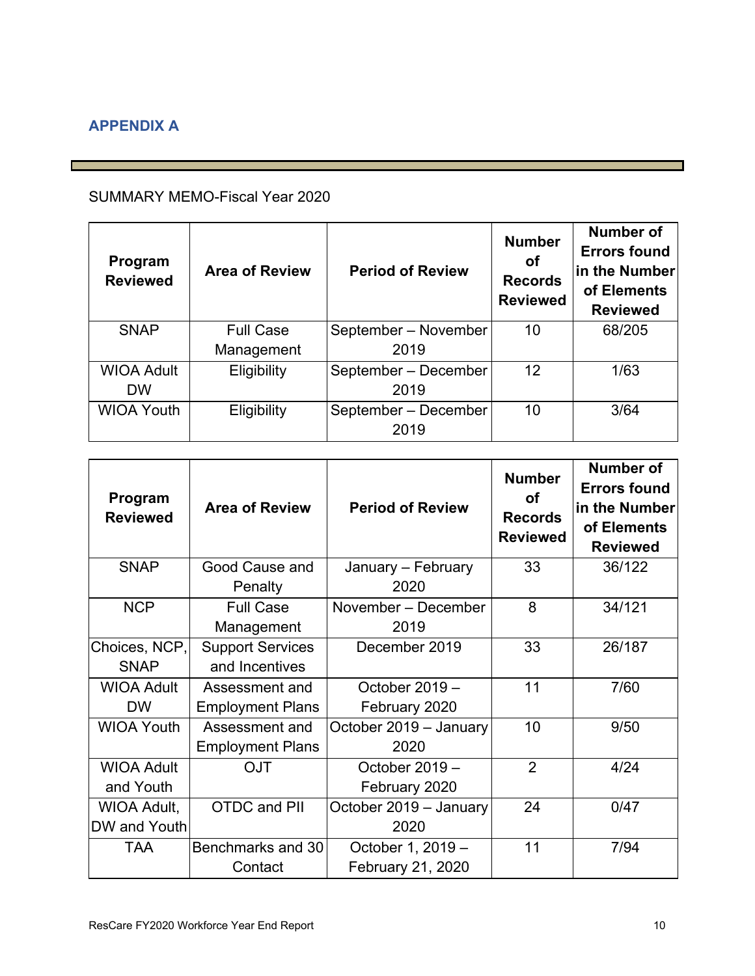# **APPENDIX A**

# SUMMARY MEMO-Fiscal Year 2020

| Program<br><b>Reviewed</b> | <b>Area of Review</b> | <b>Period of Review</b> | <b>Number</b><br>Οf<br><b>Records</b><br><b>Reviewed</b> | Number of<br><b>Errors found</b><br>in the Number<br>of Elements<br><b>Reviewed</b> |
|----------------------------|-----------------------|-------------------------|----------------------------------------------------------|-------------------------------------------------------------------------------------|
| <b>SNAP</b>                | <b>Full Case</b>      | September - November    | 10                                                       | 68/205                                                                              |
|                            | Management            | 2019                    |                                                          |                                                                                     |
| <b>WIOA Adult</b>          | Eligibility           | September - December    | 12                                                       | 1/63                                                                                |
| <b>DW</b>                  |                       | 2019                    |                                                          |                                                                                     |
| <b>WIOA Youth</b>          | Eligibility           | September - December    | 10                                                       | 3/64                                                                                |
|                            |                       | 2019                    |                                                          |                                                                                     |

| Program<br><b>Reviewed</b> | <b>Area of Review</b>   | <b>Period of Review</b> | <b>Number</b><br>Οf<br><b>Records</b><br><b>Reviewed</b> | <b>Number of</b><br><b>Errors found</b><br>in the Number<br>of Elements<br><b>Reviewed</b> |
|----------------------------|-------------------------|-------------------------|----------------------------------------------------------|--------------------------------------------------------------------------------------------|
| <b>SNAP</b>                | Good Cause and          | January - February      | 33                                                       | 36/122                                                                                     |
|                            | Penalty                 | 2020                    |                                                          |                                                                                            |
| <b>NCP</b>                 | <b>Full Case</b>        | November - December     | 8                                                        | 34/121                                                                                     |
|                            | Management              | 2019                    |                                                          |                                                                                            |
| Choices, NCP,              | <b>Support Services</b> | December 2019           | 33                                                       | 26/187                                                                                     |
| <b>SNAP</b>                | and Incentives          |                         |                                                          |                                                                                            |
| <b>WIOA Adult</b>          | Assessment and          | October 2019 -          | 11                                                       | 7/60                                                                                       |
| <b>DW</b>                  | <b>Employment Plans</b> | February 2020           |                                                          |                                                                                            |
| <b>WIOA Youth</b>          | Assessment and          | October 2019 - January  | 10                                                       | 9/50                                                                                       |
|                            | <b>Employment Plans</b> | 2020                    |                                                          |                                                                                            |
| <b>WIOA Adult</b>          | <b>OJT</b>              | October 2019 -          | $\overline{2}$                                           | 4/24                                                                                       |
| and Youth                  |                         | February 2020           |                                                          |                                                                                            |
| <b>WIOA Adult,</b>         | <b>OTDC and PII</b>     | October 2019 - January  | 24                                                       | 0/47                                                                                       |
| DW and Youth               |                         | 2020                    |                                                          |                                                                                            |
| TAA                        | Benchmarks and 30       | October 1, 2019 -       | 11                                                       | 7/94                                                                                       |
|                            | Contact                 | February 21, 2020       |                                                          |                                                                                            |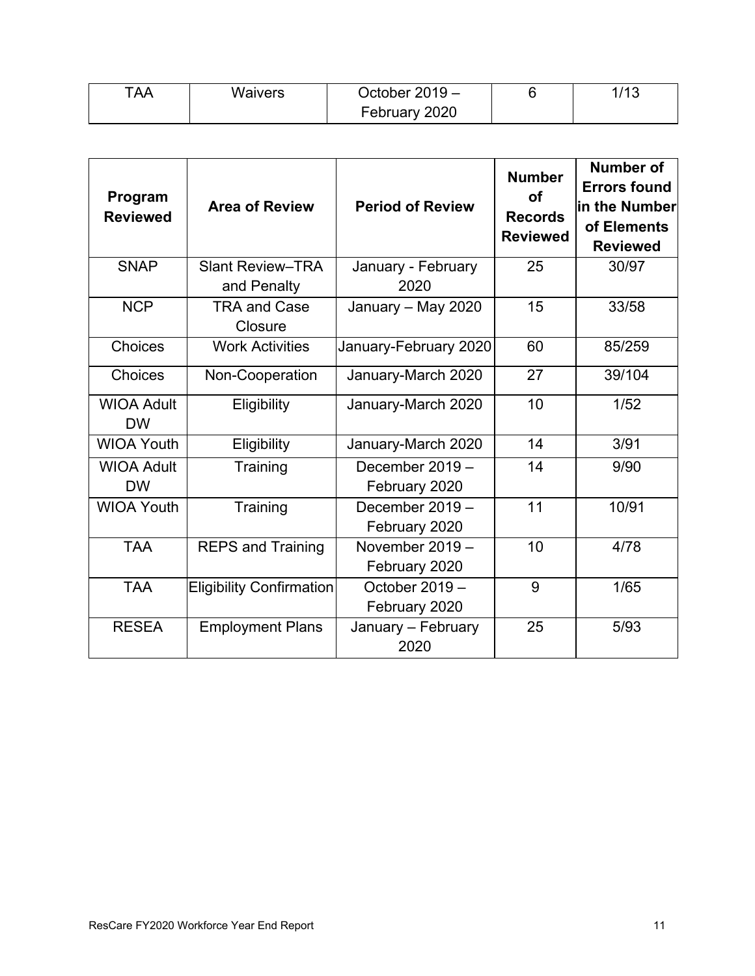| TAA. | Waivers | October $2019 -$ | 14C<br>∪ו |
|------|---------|------------------|-----------|
|      |         | February 2020    |           |

| Program<br><b>Reviewed</b>     | <b>Area of Review</b>                  | <b>Period of Review</b>            | <b>Number</b><br><b>of</b><br><b>Records</b><br><b>Reviewed</b> | <b>Number of</b><br><b>Errors found</b><br>in the Number<br>of Elements<br><b>Reviewed</b> |
|--------------------------------|----------------------------------------|------------------------------------|-----------------------------------------------------------------|--------------------------------------------------------------------------------------------|
| <b>SNAP</b>                    | <b>Slant Review-TRA</b><br>and Penalty | January - February<br>2020         | 25                                                              | 30/97                                                                                      |
| <b>NCP</b>                     | <b>TRA and Case</b><br>Closure         | January - May 2020                 | 15                                                              | 33/58                                                                                      |
| Choices                        | <b>Work Activities</b>                 | January-February 2020              | 60                                                              | 85/259                                                                                     |
| Choices                        | Non-Cooperation                        | January-March 2020                 | 27                                                              | 39/104                                                                                     |
| <b>WIOA Adult</b><br><b>DW</b> | Eligibility                            | January-March 2020                 | 10                                                              | 1/52                                                                                       |
| <b>WIOA Youth</b>              | Eligibility                            | January-March 2020                 | 14                                                              | 3/91                                                                                       |
| <b>WIOA Adult</b><br><b>DW</b> | Training                               | December 2019 -<br>February 2020   | 14                                                              | 9/90                                                                                       |
| <b>WIOA Youth</b>              | Training                               | December 2019 -<br>February 2020   | 11                                                              | 10/91                                                                                      |
| <b>TAA</b>                     | <b>REPS and Training</b>               | November $2019 -$<br>February 2020 | 10                                                              | 4/78                                                                                       |
| <b>TAA</b>                     | <b>Eligibility Confirmation</b>        | October 2019 -<br>February 2020    | 9                                                               | 1/65                                                                                       |
| <b>RESEA</b>                   | <b>Employment Plans</b>                | January - February<br>2020         | 25                                                              | 5/93                                                                                       |